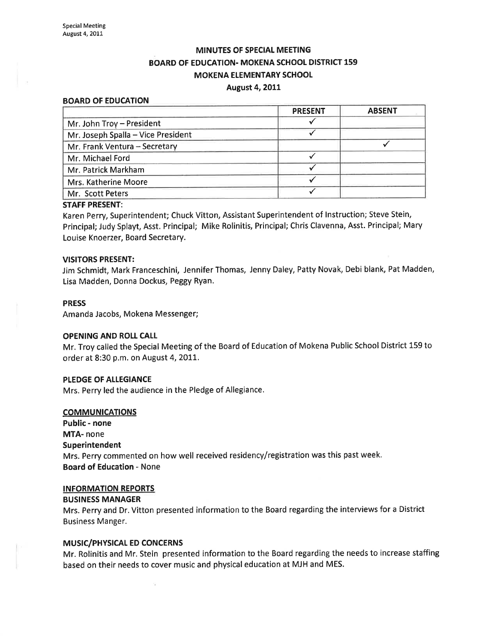# MINUTES OF SPECIAL MEETING BOARD OF EDUCATION. MOKENA SCHOOL DISTRICT 159 **MOKENA ELEMENTARY SCHOOL** August 4,2OLl

#### BOARD OF EDUCATION

|                                    | <b>PRESENT</b> | <b>ABSENT</b> |
|------------------------------------|----------------|---------------|
| Mr. John Troy - President          |                |               |
| Mr. Joseph Spalla - Vice President |                |               |
| Mr. Frank Ventura - Secretary      |                |               |
| Mr. Michael Ford                   |                |               |
| Mr. Patrick Markham                |                |               |
| Mrs. Katherine Moore               |                |               |
| Mr. Scott Peters                   |                |               |

### STAFF PRESENT:

Karen Perry, Superintendent; Chuck Vitton, Assistant Superintendent of lnstruction; Steve Stein, Principal; Judy Splayt, Asst. Principal; Mike Rolinitis, Principal; Chris Clavenna, Asst. Principal; Mary Louise Knoerzer, Board Secretary.

#### VISITORS PRESENT:

Jim Schmidt, Mark Franceschini, Jennifer Thomas, Jenny Daley, Patty Novak, Debi blank, Pat Madden, Lisa Madden, Donna Dockus, Peggy Ryan.

# PRESS

Amanda Jacobs, Mokena Messenger;

## OPENING AND ROLI CAIL

Mr. Troy called the Special Meeting of the Board of Education of Mokena Public School District 159 to order at 8:30 p.m. on August 4, 2011.

# PLEDGE OF ALLEGIANCE

Mrs. Perry led the audience in the Pledge of Allegiance.

# **COMMUNICATIONS**

Public - none MTA- none Superintendent Mrs. Perry commented on how well received residency/registration was this past week. Board of Education - None

# INFORMATION REPORTS

#### BUSINESS MANAGER

Mrs. Perry and Dr. Vitton presented information to the Board regarding the interviews for a District Business Manger.

### **MUSIC/PHYSICAL ED CONCERNS**

Mr. Rolinitis and Mr. Stein presented information to the Board regarding the needs to increase staffing based on their needs to cover music and physical education at MJH and MES.